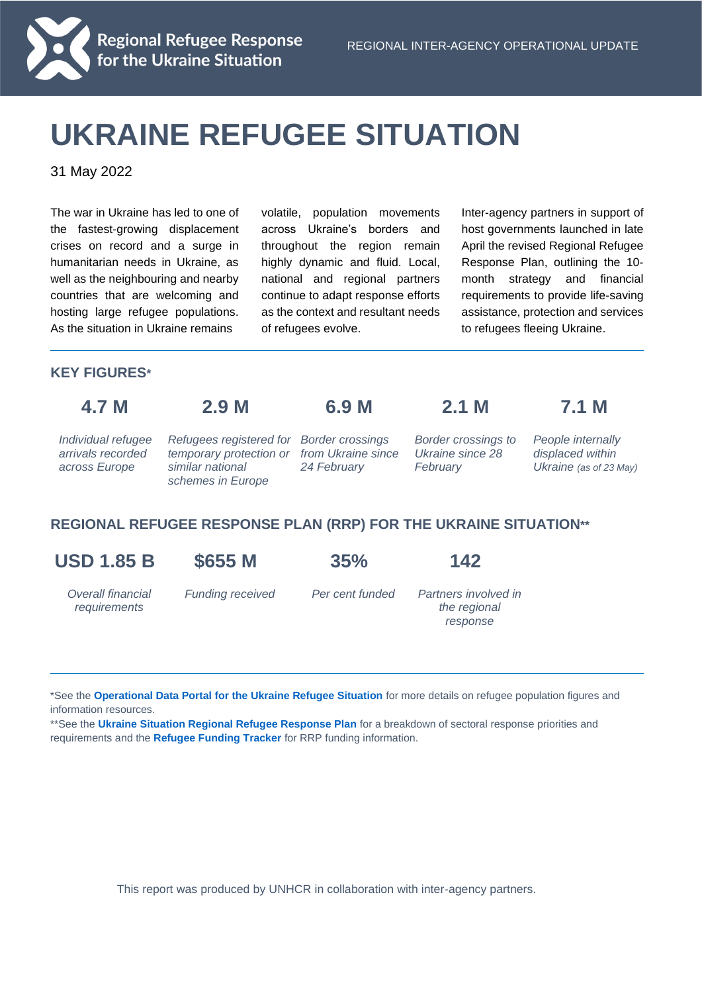

# Regional Refugee Response<br>for the Ukraine Situation

## **UKRAINE REFUGEE SITUATION**

31 May 2022

The war in Ukraine has led to one of the fastest-growing displacement crises on record and a surge in humanitarian needs in Ukraine, as well as the neighbouring and nearby countries that are welcoming and hosting large refugee populations. As the situation in Ukraine remains

volatile, population movements across Ukraine's borders and throughout the region remain highly dynamic and fluid. Local, national and regional partners continue to adapt response efforts as the context and resultant needs of refugees evolve.

Inter-agency partners in support of host governments launched in late April the revised Regional Refugee Response Plan, outlining the 10 month strategy and financial requirements to provide life-saving assistance, protection and services to refugees fleeing Ukraine.

#### **KEY FIGURES\***

|--|--|

## **4.7 M 2.9 M 6.9 M 2.1 M 7.1 M**

*Individual refugee arrivals recorded across Europe* 

*Refugees registered for Border crossings temporary protection or from Ukraine since similar national schemes in Europe*

*24 February* 

*Border crossings to Ukraine since 28 February* 

*People internally displaced within Ukraine (as of 23 May)*

#### **REGIONAL REFUGEE RESPONSE PLAN (RRP) FOR THE UKRAINE SITUATION\*\***

**USD 1.85 B \$655 M 35% 142**

*Overall financial requirements*

*Funding received Per cent funded Partners involved in the regional response*

\*See the **[Operational Data Portal for the Ukraine Refugee Situation](http://data2.unhcr.org/en/situations/ukraine)** for more details on refugee population figures and information resources.

\*\*See the **[Ukraine Situation Regional Refugee Response Plan](https://data2.unhcr.org/en/documents/details/92257)** for a breakdown of sectoral response priorities and requirements and the **[Refugee Funding Tracker](https://app.powerbi.com/view?r=eyJrIjoiZWE5MTAyYjYtNDZmYi00NGYzLWFkYjEtMzQ5MTAxZDBiZTU1IiwidCI6ImU1YzM3OTgxLTY2NjQtNDEzNC04YTBjLTY1NDNkMmFmODBiZSIsImMiOjh9)** for RRP funding information.

This report was produced by UNHCR in collaboration with inter-agency partners.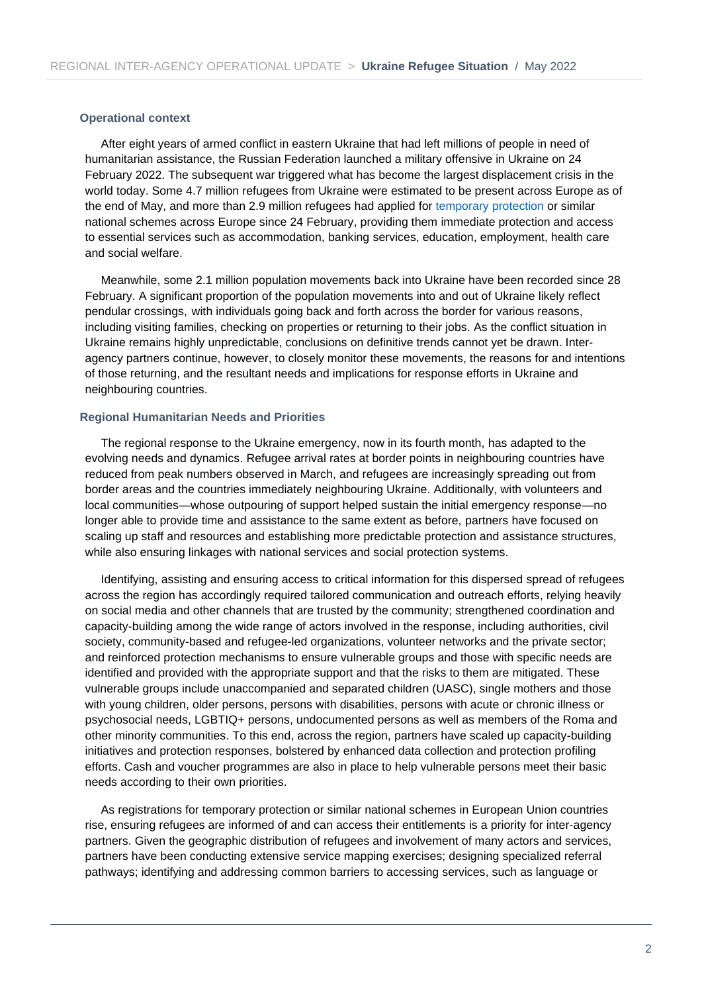#### **Operational context**

After eight years of armed conflict in eastern Ukraine that had left millions of people in need of humanitarian assistance, the Russian Federation launched a military offensive in Ukraine on 24 February 2022. The subsequent war triggered what has become the largest displacement crisis in the world today. Some 4.7 million refugees from Ukraine were estimated to be present across Europe as of the end of May, and more than 2.9 million refugees had applied for [temporary protection](https://ec.europa.eu/home-affairs/policies/migration-and-asylum/common-european-asylum-system/temporary-protection_en) or similar national schemes across Europe since 24 February, providing them immediate protection and access to essential services such as accommodation, banking services, education, employment, health care and social welfare.

Meanwhile, some 2.1 million population movements back into Ukraine have been recorded since 28 February. A significant proportion of the population movements into and out of Ukraine likely reflect pendular crossings, with individuals going back and forth across the border for various reasons, including visiting families, checking on properties or returning to their jobs. As the conflict situation in Ukraine remains highly unpredictable, conclusions on definitive trends cannot yet be drawn. Interagency partners continue, however, to closely monitor these movements, the reasons for and intentions of those returning, and the resultant needs and implications for response efforts in Ukraine and neighbouring countries.

#### **Regional Humanitarian Needs and Priorities**

The regional response to the Ukraine emergency, now in its fourth month, has adapted to the evolving needs and dynamics. Refugee arrival rates at border points in neighbouring countries have reduced from peak numbers observed in March, and refugees are increasingly spreading out from border areas and the countries immediately neighbouring Ukraine. Additionally, with volunteers and local communities—whose outpouring of support helped sustain the initial emergency response—no longer able to provide time and assistance to the same extent as before, partners have focused on scaling up staff and resources and establishing more predictable protection and assistance structures, while also ensuring linkages with national services and social protection systems.

Identifying, assisting and ensuring access to critical information for this dispersed spread of refugees across the region has accordingly required tailored communication and outreach efforts, relying heavily on social media and other channels that are trusted by the community; strengthened coordination and capacity-building among the wide range of actors involved in the response, including authorities, civil society, community-based and refugee-led organizations, volunteer networks and the private sector; and reinforced protection mechanisms to ensure vulnerable groups and those with specific needs are identified and provided with the appropriate support and that the risks to them are mitigated. These vulnerable groups include unaccompanied and separated children (UASC), single mothers and those with young children, older persons, persons with disabilities, persons with acute or chronic illness or psychosocial needs, LGBTIQ+ persons, undocumented persons as well as members of the Roma and other minority communities. To this end, across the region, partners have scaled up capacity-building initiatives and protection responses, bolstered by enhanced data collection and protection profiling efforts. Cash and voucher programmes are also in place to help vulnerable persons meet their basic needs according to their own priorities.

As registrations for temporary protection or similar national schemes in European Union countries rise, ensuring refugees are informed of and can access their entitlements is a priority for inter-agency partners. Given the geographic distribution of refugees and involvement of many actors and services, partners have been conducting extensive service mapping exercises; designing specialized referral pathways; identifying and addressing common barriers to accessing services, such as language or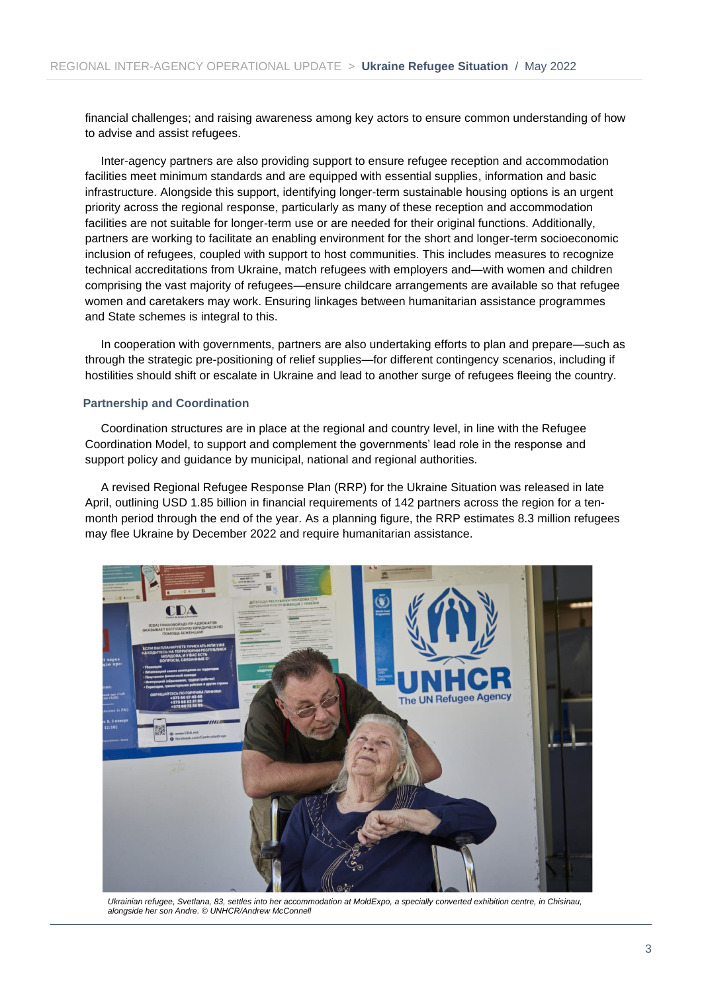financial challenges; and raising awareness among key actors to ensure common understanding of how to advise and assist refugees.

Inter-agency partners are also providing support to ensure refugee reception and accommodation facilities meet minimum standards and are equipped with essential supplies, information and basic infrastructure. Alongside this support, identifying longer-term sustainable housing options is an urgent priority across the regional response, particularly as many of these reception and accommodation facilities are not suitable for longer-term use or are needed for their original functions. Additionally, partners are working to facilitate an enabling environment for the short and longer-term socioeconomic inclusion of refugees, coupled with support to host communities. This includes measures to recognize technical accreditations from Ukraine, match refugees with employers and—with women and children comprising the vast majority of refugees—ensure childcare arrangements are available so that refugee women and caretakers may work. Ensuring linkages between humanitarian assistance programmes and State schemes is integral to this.

In cooperation with governments, partners are also undertaking efforts to plan and prepare—such as through the strategic pre-positioning of relief supplies—for different contingency scenarios, including if hostilities should shift or escalate in Ukraine and lead to another surge of refugees fleeing the country.

#### **Partnership and Coordination**

Coordination structures are in place at the regional and country level, in line with the Refugee Coordination Model, to support and complement the governments' lead role in the response and support policy and guidance by municipal, national and regional authorities.

A revised Regional Refugee Response Plan (RRP) for the Ukraine Situation was released in late April, outlining USD 1.85 billion in financial requirements of 142 partners across the region for a tenmonth period through the end of the year. As a planning figure, the RRP estimates 8.3 million refugees may flee Ukraine by December 2022 and require humanitarian assistance.



*Ukrainian refugee, Svetlana, 83, settles into her accommodation at MoldExpo, a specially converted exhibition centre, in Chisinau, alongside her son Andre. © UNHCR/Andrew McConnell*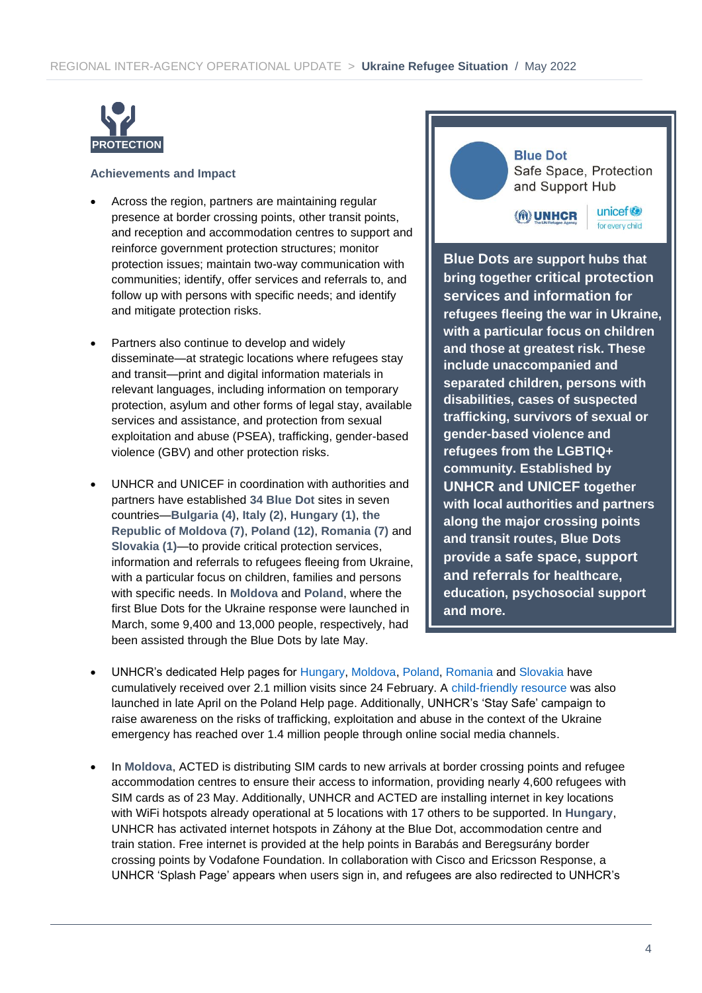

#### **Achievements and Impact**

- Across the region, partners are maintaining regular presence at border crossing points, other transit points, and reception and accommodation centres to support and reinforce government protection structures; monitor protection issues; maintain two-way communication with communities; identify, offer services and referrals to, and follow up with persons with specific needs; and identify and mitigate protection risks.
- Partners also continue to develop and widely disseminate—at strategic locations where refugees stay and transit—print and digital information materials in relevant languages, including information on temporary protection, asylum and other forms of legal stay, available services and assistance, and protection from sexual exploitation and abuse (PSEA), trafficking, gender-based violence (GBV) and other protection risks.
- UNHCR and UNICEF in coordination with authorities and partners have established **34 Blue Dot** sites in seven countries—**Bulgaria (4)**, **Italy (2)**, **Hungary (1)**, **the Republic of Moldova (7)**, **Poland (12)**, **Romania (7)** and **Slovakia (1)**—to provide critical protection services, information and referrals to refugees fleeing from Ukraine, with a particular focus on children, families and persons with specific needs. In **Moldova** and **Poland**, where the first Blue Dots for the Ukraine response were launched in March, some 9,400 and 13,000 people, respectively, had been assisted through the Blue Dots by late May.

#### **Blue Dot**

Safe Space, Protection and Support Hub

**(M) UNHCR** 

unicef<sup>®</sup> for every child

**Blue Dots are support hubs that bring together critical protection services and information for refugees fleeing the war in Ukraine, with a particular focus on children and those at greatest risk. These include unaccompanied and separated children, persons with disabilities, cases of suspected trafficking, survivors of sexual or gender-based violence and refugees from the LGBTIQ+ community. Established by UNHCR and UNICEF together with local authorities and partners along the major crossing points and transit routes, Blue Dots provide a safe space, support and referrals for healthcare, education, psychosocial support and more.**

- UNHCR's dedicated Help pages for [Hungary,](https://help.unhcr.org/hungary/) [Moldova,](https://help.unhcr.org/moldova/) [Poland,](https://help.unhcr.org/poland/) [Romania](https://help.unhcr.org/romania/) and [Slovakia](https://help.unhcr.org/slovakia/) have cumulatively received over 2.1 million visits since 24 February. A [child-friendly resource](https://help.unhcr.org/poland/information-for-new-arrivals-from-ukraine/are-you-under-age-18/) was also launched in late April on the Poland Help page. Additionally, UNHCR's 'Stay Safe' campaign to raise awareness on the risks of trafficking, exploitation and abuse in the context of the Ukraine emergency has reached over 1.4 million people through online social media channels.
- In **Moldova**, ACTED is distributing SIM cards to new arrivals at border crossing points and refugee accommodation centres to ensure their access to information, providing nearly 4,600 refugees with SIM cards as of 23 May. Additionally, UNHCR and ACTED are installing internet in key locations with WiFi hotspots already operational at 5 locations with 17 others to be supported. In **Hungary**, UNHCR has activated internet hotspots in Záhony at the Blue Dot, accommodation centre and train station. Free internet is provided at the help points in Barabás and Beregsurány border crossing points by Vodafone Foundation. In collaboration with Cisco and Ericsson Response, a UNHCR 'Splash Page' appears when users sign in, and refugees are also redirected to UNHCR's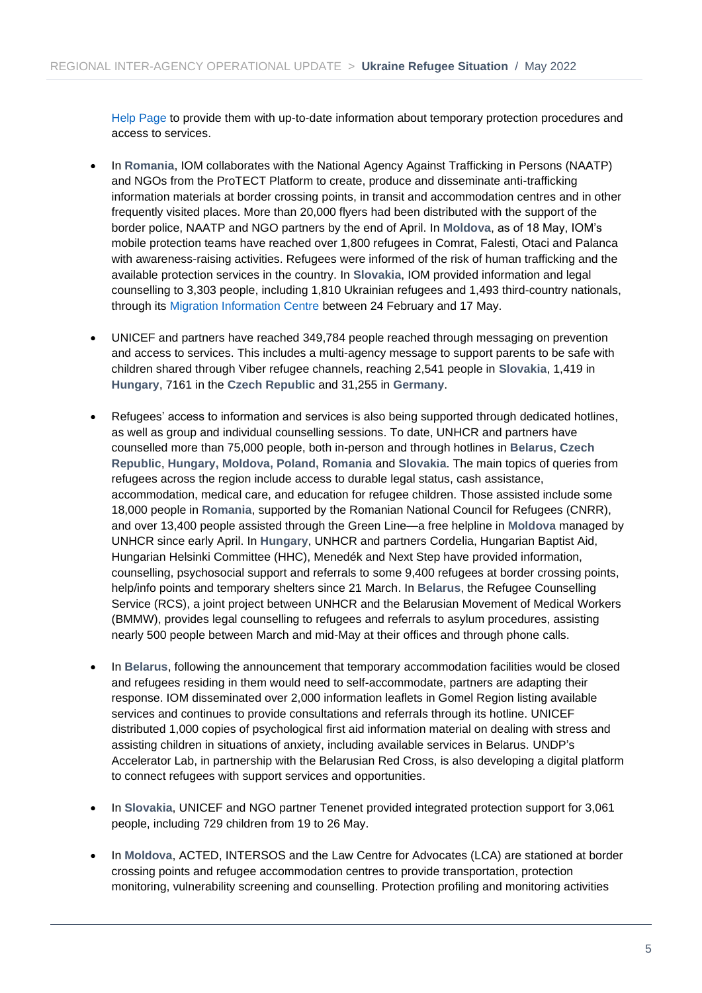[Help Page t](https://help.unhcr.org/hungary/)o provide them with up-to-date information about temporary protection procedures and access to services.

- In **Romania**, IOM collaborates with the National Agency Against Trafficking in Persons (NAATP) and NGOs from the ProTECT Platform to create, produce and disseminate anti-trafficking information materials at border crossing points, in transit and accommodation centres and in other frequently visited places. More than 20,000 flyers had been distributed with the support of the border police, NAATP and NGO partners by the end of April. In **Moldova**, as of 18 May, IOM's mobile protection teams have reached over 1,800 refugees in Comrat, Falesti, Otaci and Palanca with awareness-raising activities. Refugees were informed of the risk of human trafficking and the available protection services in the country. In **Slovakia**, IOM provided information and legal counselling to 3,303 people, including 1,810 Ukrainian refugees and 1,493 third-country nationals, through its [Migration Information Centre](https://www.mic.iom.sk/en/) between 24 February and 17 May.
- UNICEF and partners have reached 349,784 people reached through messaging on prevention and access to services. This includes a multi-agency message to support parents to be safe with children shared through Viber refugee channels, reaching 2,541 people in **Slovakia**, 1,419 in **Hungary**, 7161 in the **Czech Republic** and 31,255 in **Germany**.
- Refugees' access to information and services is also being supported through dedicated hotlines, as well as group and individual counselling sessions. To date, UNHCR and partners have counselled more than 75,000 people, both in-person and through hotlines in **Belarus**, **Czech Republic**, **Hungary, Moldova, Poland, Romania** and **Slovakia**. The main topics of queries from refugees across the region include access to durable legal status, cash assistance, accommodation, medical care, and education for refugee children. Those assisted include some 18,000 people in **Romania**, supported by the Romanian National Council for Refugees (CNRR), and over 13,400 people assisted through the Green Line—a free helpline in **Moldova** managed by UNHCR since early April. In **Hungary**, UNHCR and partners Cordelia, Hungarian Baptist Aid, Hungarian Helsinki Committee (HHC), Menedék and Next Step have provided information, counselling, psychosocial support and referrals to some 9,400 refugees at border crossing points, help/info points and temporary shelters since 21 March. In **Belarus**, the Refugee Counselling Service (RCS), a joint project between UNHCR and the Belarusian Movement of Medical Workers (BMMW), provides legal counselling to refugees and referrals to asylum procedures, assisting nearly 500 people between March and mid-May at their offices and through phone calls.
- In **Belarus**, following the announcement that temporary accommodation facilities would be closed and refugees residing in them would need to self-accommodate, partners are adapting their response. IOM disseminated over 2,000 information leaflets in Gomel Region listing available services and continues to provide consultations and referrals through its hotline. UNICEF distributed 1,000 copies of psychological first aid information material on dealing with stress and assisting children in situations of anxiety, including available services in Belarus. UNDP's Accelerator Lab, in partnership with the Belarusian Red Cross, is also developing a digital platform to connect refugees with support services and opportunities.
- In **Slovakia**, UNICEF and NGO partner Tenenet provided integrated protection support for 3,061 people, including 729 children from 19 to 26 May.
- In **Moldova**, ACTED, INTERSOS and the Law Centre for Advocates (LCA) are stationed at border crossing points and refugee accommodation centres to provide transportation, protection monitoring, vulnerability screening and counselling. Protection profiling and monitoring activities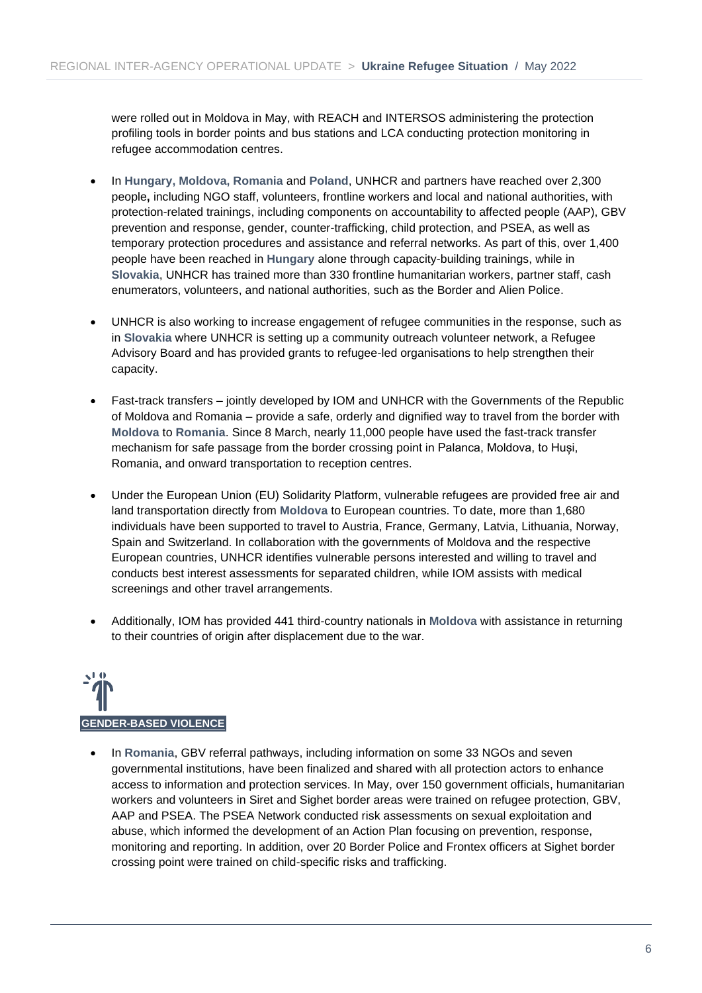were rolled out in Moldova in May, with REACH and INTERSOS administering the protection profiling tools in border points and bus stations and LCA conducting protection monitoring in refugee accommodation centres.

- In **Hungary, Moldova, Romania** and **Poland**, UNHCR and partners have reached over 2,300 people**,** including NGO staff, volunteers, frontline workers and local and national authorities, with protection-related trainings, including components on accountability to affected people (AAP), GBV prevention and response, gender, counter-trafficking, child protection, and PSEA, as well as temporary protection procedures and assistance and referral networks. As part of this, over 1,400 people have been reached in **Hungary** alone through capacity-building trainings, while in **Slovakia**, UNHCR has trained more than 330 frontline humanitarian workers, partner staff, cash enumerators, volunteers, and national authorities, such as the Border and Alien Police.
- UNHCR is also working to increase engagement of refugee communities in the response, such as in **Slovakia** where UNHCR is setting up a community outreach volunteer network, a Refugee Advisory Board and has provided grants to refugee-led organisations to help strengthen their capacity.
- Fast-track transfers jointly developed by IOM and UNHCR with the Governments of the Republic of Moldova and Romania – provide a safe, orderly and dignified way to travel from the border with **Moldova** to **Romania**. Since 8 March, nearly 11,000 people have used the fast-track transfer mechanism for safe passage from the border crossing point in Palanca, Moldova, to Huși, Romania, and onward transportation to reception centres.
- Under the European Union (EU) Solidarity Platform, vulnerable refugees are provided free air and land transportation directly from **Moldova** to European countries. To date, more than 1,680 individuals have been supported to travel to Austria, France, Germany, Latvia, Lithuania, Norway, Spain and Switzerland. In collaboration with the governments of Moldova and the respective European countries, UNHCR identifies vulnerable persons interested and willing to travel and conducts best interest assessments for separated children, while IOM assists with medical screenings and other travel arrangements.
- Additionally, IOM has provided 441 third-country nationals in **Moldova** with assistance in returning to their countries of origin after displacement due to the war.



• In **Romania**, GBV referral pathways, including information on some 33 NGOs and seven governmental institutions, have been finalized and shared with all protection actors to enhance access to information and protection services. In May, over 150 government officials, humanitarian workers and volunteers in Siret and Sighet border areas were trained on refugee protection, GBV, AAP and PSEA. The PSEA Network conducted risk assessments on sexual exploitation and abuse, which informed the development of an Action Plan focusing on prevention, response, monitoring and reporting. In addition, over 20 Border Police and Frontex officers at Sighet border crossing point were trained on child-specific risks and trafficking.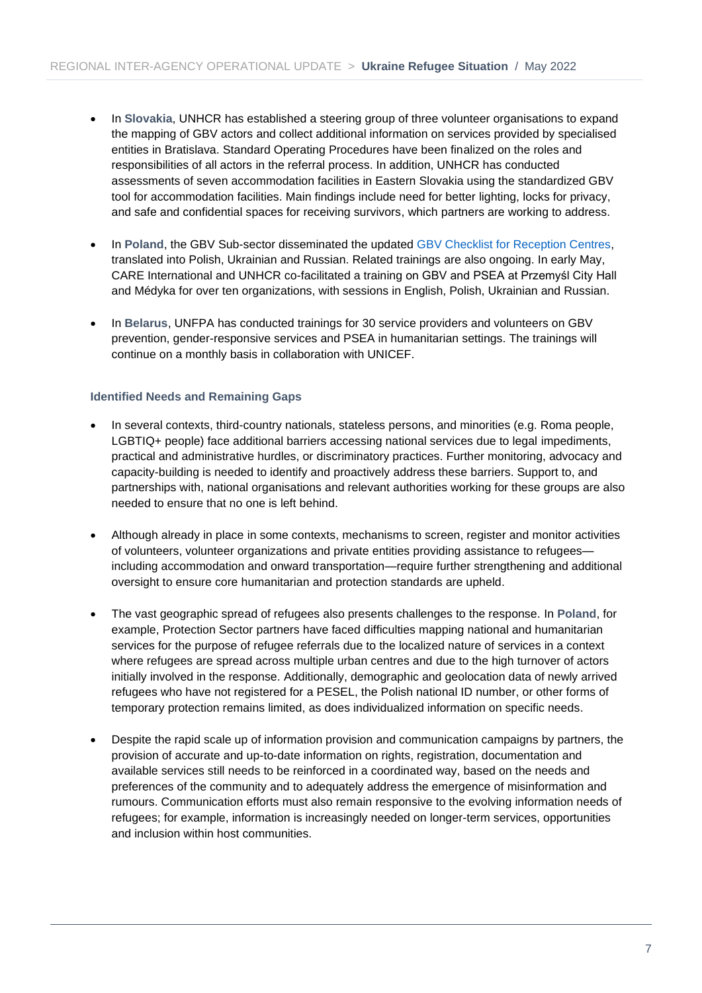- In **Slovakia**, UNHCR has established a steering group of three volunteer organisations to expand the mapping of GBV actors and collect additional information on services provided by specialised entities in Bratislava. Standard Operating Procedures have been finalized on the roles and responsibilities of all actors in the referral process. In addition, UNHCR has conducted assessments of seven accommodation facilities in Eastern Slovakia using the standardized GBV tool for accommodation facilities. Main findings include need for better lighting, locks for privacy, and safe and confidential spaces for receiving survivors, which partners are working to address.
- In **Poland**, the GBV Sub-sector disseminated the updated [GBV Checklist for Reception Centres,](https://data2.unhcr.org/en/documents/details/92838) translated into Polish, Ukrainian and Russian. Related trainings are also ongoing. In early May, CARE International and UNHCR co-facilitated a training on GBV and PSEA at Przemyśl City Hall and Médyka for over ten organizations, with sessions in English, Polish, Ukrainian and Russian.
- In **Belarus**, UNFPA has conducted trainings for 30 service providers and volunteers on GBV prevention, gender-responsive services and PSEA in humanitarian settings. The trainings will continue on a monthly basis in collaboration with UNICEF.

#### **Identified Needs and Remaining Gaps**

- In several contexts, third-country nationals, stateless persons, and minorities (e.g. Roma people, LGBTIQ+ people) face additional barriers accessing national services due to legal impediments, practical and administrative hurdles, or discriminatory practices. Further monitoring, advocacy and capacity-building is needed to identify and proactively address these barriers. Support to, and partnerships with, national organisations and relevant authorities working for these groups are also needed to ensure that no one is left behind.
- Although already in place in some contexts, mechanisms to screen, register and monitor activities of volunteers, volunteer organizations and private entities providing assistance to refugees including accommodation and onward transportation—require further strengthening and additional oversight to ensure core humanitarian and protection standards are upheld.
- The vast geographic spread of refugees also presents challenges to the response. In **Poland**, for example, Protection Sector partners have faced difficulties mapping national and humanitarian services for the purpose of refugee referrals due to the localized nature of services in a context where refugees are spread across multiple urban centres and due to the high turnover of actors initially involved in the response. Additionally, demographic and geolocation data of newly arrived refugees who have not registered for a PESEL, the Polish national ID number, or other forms of temporary protection remains limited, as does individualized information on specific needs.
- Despite the rapid scale up of information provision and communication campaigns by partners, the provision of accurate and up-to-date information on rights, registration, documentation and available services still needs to be reinforced in a coordinated way, based on the needs and preferences of the community and to adequately address the emergence of misinformation and rumours. Communication efforts must also remain responsive to the evolving information needs of refugees; for example, information is increasingly needed on longer-term services, opportunities and inclusion within host communities.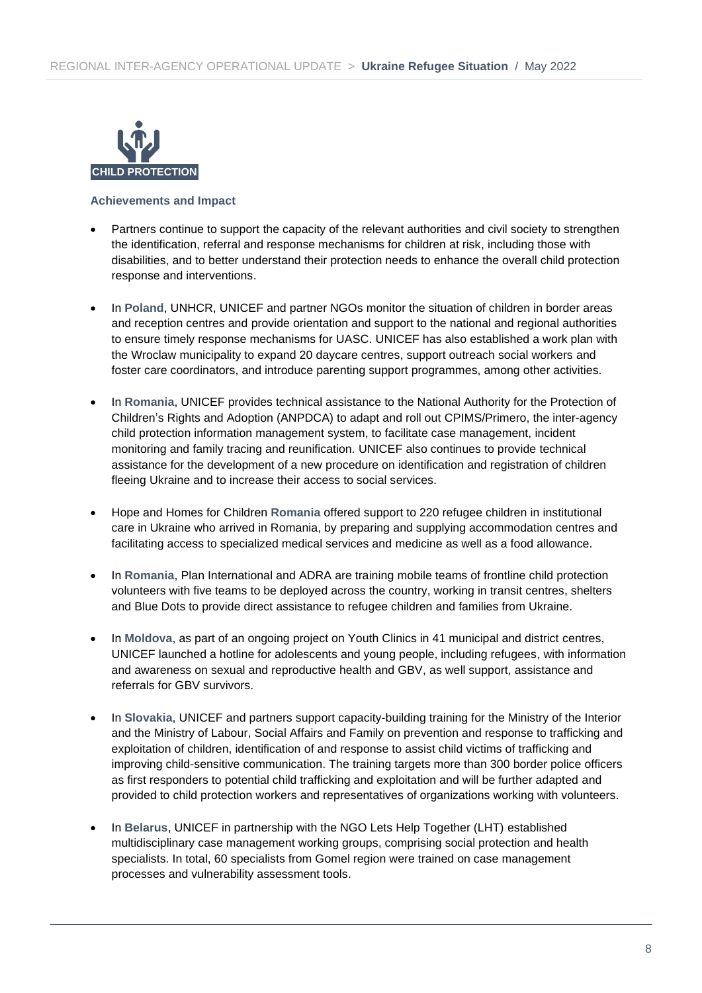

- Partners continue to support the capacity of the relevant authorities and civil society to strengthen the identification, referral and response mechanisms for children at risk, including those with disabilities, and to better understand their protection needs to enhance the overall child protection response and interventions.
- In **Poland**, UNHCR, UNICEF and partner NGOs monitor the situation of children in border areas and reception centres and provide orientation and support to the national and regional authorities to ensure timely response mechanisms for UASC. UNICEF has also established a work plan with the Wroclaw municipality to expand 20 daycare centres, support outreach social workers and foster care coordinators, and introduce parenting support programmes, among other activities.
- In **Romania**, UNICEF provides technical assistance to the National Authority for the Protection of Children's Rights and Adoption (ANPDCA) to adapt and roll out CPIMS/Primero, the inter-agency child protection information management system, to facilitate case management, incident monitoring and family tracing and reunification. UNICEF also continues to provide technical assistance for the development of a new procedure on identification and registration of children fleeing Ukraine and to increase their access to social services.
- Hope and Homes for Children **Romania** offered support to 220 refugee children in institutional care in Ukraine who arrived in Romania, by preparing and supplying accommodation centres and facilitating access to specialized medical services and medicine as well as a food allowance.
- In **Romania**, Plan International and ADRA are training mobile teams of frontline child protection volunteers with five teams to be deployed across the country, working in transit centres, shelters and Blue Dots to provide direct assistance to refugee children and families from Ukraine.
- In **Moldova**, as part of an ongoing project on Youth Clinics in 41 municipal and district centres, UNICEF launched a hotline for adolescents and young people, including refugees, with information and awareness on sexual and reproductive health and GBV, as well support, assistance and referrals for GBV survivors.
- In **Slovakia**, UNICEF and partners support capacity-building training for the Ministry of the Interior and the Ministry of Labour, Social Affairs and Family on prevention and response to trafficking and exploitation of children, identification of and response to assist child victims of trafficking and improving child-sensitive communication. The training targets more than 300 border police officers as first responders to potential child trafficking and exploitation and will be further adapted and provided to child protection workers and representatives of organizations working with volunteers.
- In **Belarus**, UNICEF in partnership with the NGO Lets Help Together (LHT) established multidisciplinary case management working groups, comprising social protection and health specialists. In total, 60 specialists from Gomel region were trained on case management processes and vulnerability assessment tools.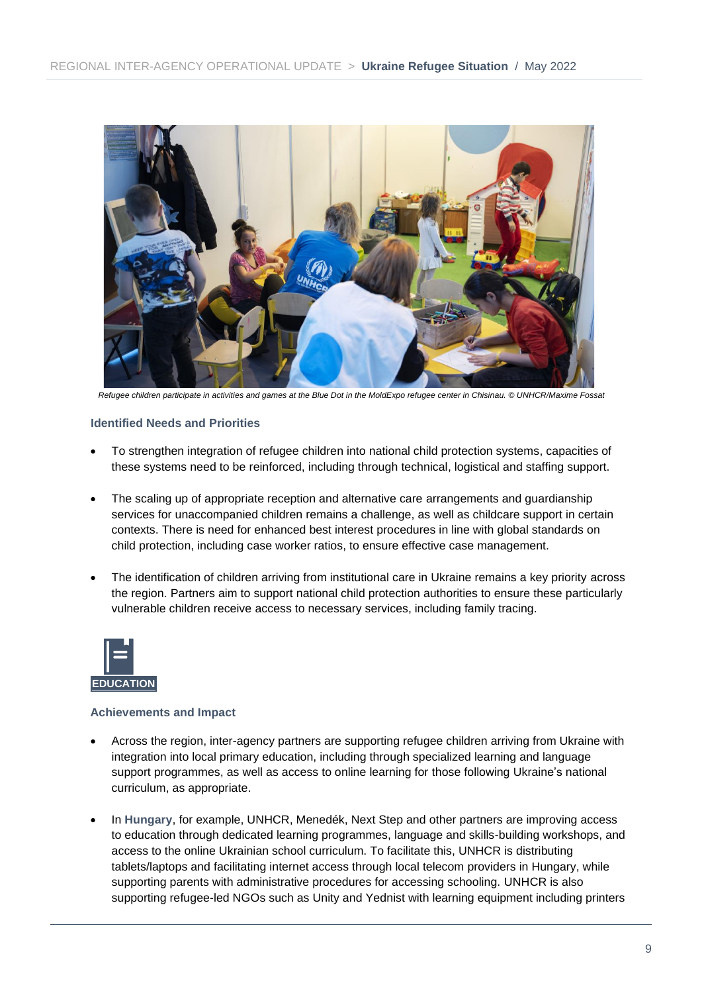

*Refugee children participate in activities and games at the Blue Dot in the MoldExpo refugee center in Chisinau. © UNHCR/Maxime Fossat*

#### **Identified Needs and Priorities**

- To strengthen integration of refugee children into national child protection systems, capacities of these systems need to be reinforced, including through technical, logistical and staffing support.
- The scaling up of appropriate reception and alternative care arrangements and guardianship services for unaccompanied children remains a challenge, as well as childcare support in certain contexts. There is need for enhanced best interest procedures in line with global standards on child protection, including case worker ratios, to ensure effective case management.
- The identification of children arriving from institutional care in Ukraine remains a key priority across the region. Partners aim to support national child protection authorities to ensure these particularly vulnerable children receive access to necessary services, including family tracing.



- Across the region, inter-agency partners are supporting refugee children arriving from Ukraine with integration into local primary education, including through specialized learning and language support programmes, as well as access to online learning for those following Ukraine's national curriculum, as appropriate.
- In **Hungary**, for example, UNHCR, Menedék, Next Step and other partners are improving access to education through dedicated learning programmes, language and skills-building workshops, and access to the online Ukrainian school curriculum. To facilitate this, UNHCR is distributing tablets/laptops and facilitating internet access through local telecom providers in Hungary, while supporting parents with administrative procedures for accessing schooling. UNHCR is also supporting refugee-led NGOs such as Unity and Yednist with learning equipment including printers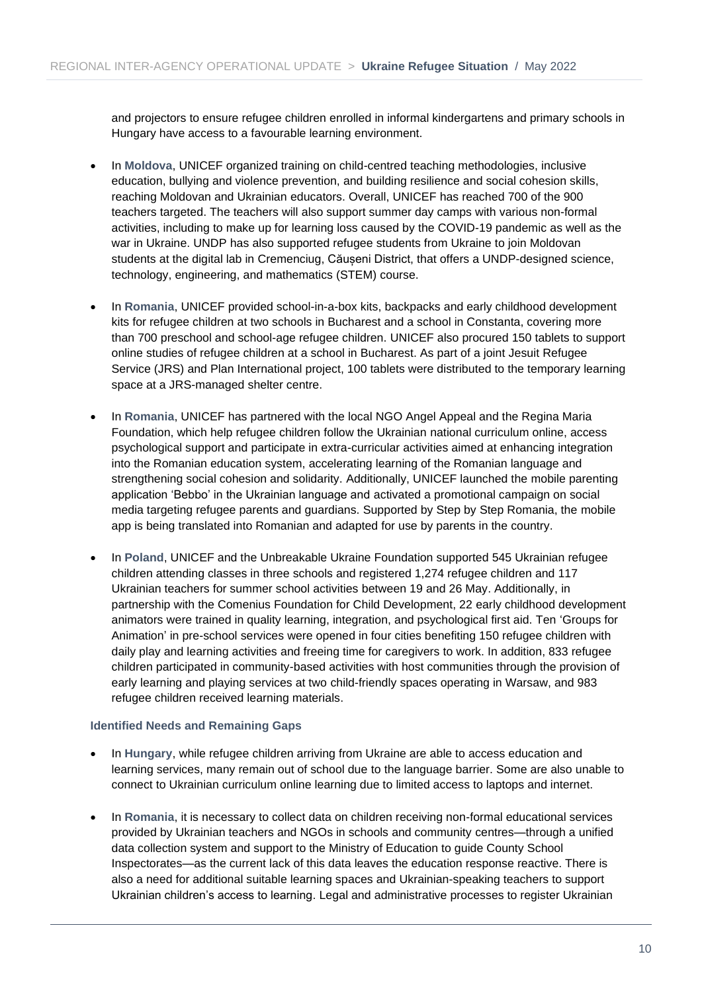and projectors to ensure refugee children enrolled in informal kindergartens and primary schools in Hungary have access to a favourable learning environment.

- In **Moldova**, UNICEF organized training on child-centred teaching methodologies, inclusive education, bullying and violence prevention, and building resilience and social cohesion skills, reaching Moldovan and Ukrainian educators. Overall, UNICEF has reached 700 of the 900 teachers targeted. The teachers will also support summer day camps with various non-formal activities, including to make up for learning loss caused by the COVID-19 pandemic as well as the war in Ukraine. UNDP has also supported refugee students from Ukraine to join Moldovan students at the digital lab in Cremenciug, Căuseni District, that offers a UNDP-designed science, technology, engineering, and mathematics (STEM) course.
- In **Romania**, UNICEF provided school-in-a-box kits, backpacks and early childhood development kits for refugee children at two schools in Bucharest and a school in Constanta, covering more than 700 preschool and school-age refugee children. UNICEF also procured 150 tablets to support online studies of refugee children at a school in Bucharest. As part of a joint Jesuit Refugee Service (JRS) and Plan International project, 100 tablets were distributed to the temporary learning space at a JRS-managed shelter centre.
- In **Romania**, UNICEF has partnered with the local NGO Angel Appeal and the Regina Maria Foundation, which help refugee children follow the Ukrainian national curriculum online, access psychological support and participate in extra-curricular activities aimed at enhancing integration into the Romanian education system, accelerating learning of the Romanian language and strengthening social cohesion and solidarity. Additionally, UNICEF launched the mobile parenting application 'Bebbo' in the Ukrainian language and activated a promotional campaign on social media targeting refugee parents and guardians. Supported by Step by Step Romania, the mobile app is being translated into Romanian and adapted for use by parents in the country.
- In **Poland**, UNICEF and the Unbreakable Ukraine Foundation supported 545 Ukrainian refugee children attending classes in three schools and registered 1,274 refugee children and 117 Ukrainian teachers for summer school activities between 19 and 26 May. Additionally, in partnership with the Comenius Foundation for Child Development, 22 early childhood development animators were trained in quality learning, integration, and psychological first aid. Ten 'Groups for Animation' in pre-school services were opened in four cities benefiting 150 refugee children with daily play and learning activities and freeing time for caregivers to work. In addition, 833 refugee children participated in community-based activities with host communities through the provision of early learning and playing services at two child-friendly spaces operating in Warsaw, and 983 refugee children received learning materials.

#### **Identified Needs and Remaining Gaps**

- In **Hungary**, while refugee children arriving from Ukraine are able to access education and learning services, many remain out of school due to the language barrier. Some are also unable to connect to Ukrainian curriculum online learning due to limited access to laptops and internet.
- In **Romania**, it is necessary to collect data on children receiving non-formal educational services provided by Ukrainian teachers and NGOs in schools and community centres—through a unified data collection system and support to the Ministry of Education to guide County School Inspectorates—as the current lack of this data leaves the education response reactive. There is also a need for additional suitable learning spaces and Ukrainian-speaking teachers to support Ukrainian children's access to learning. Legal and administrative processes to register Ukrainian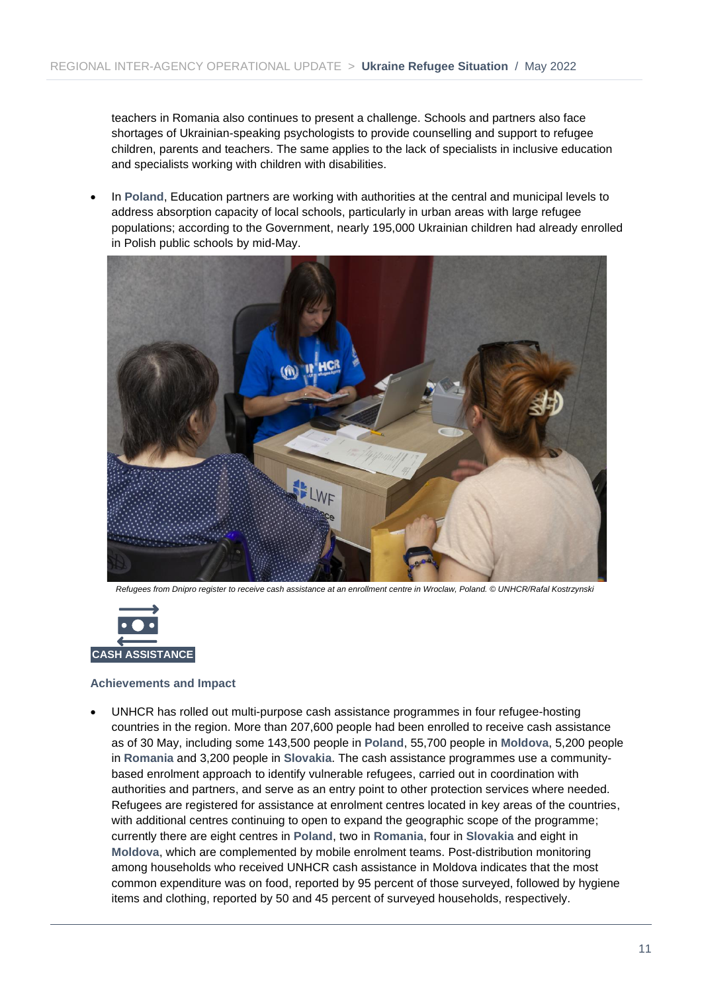teachers in Romania also continues to present a challenge. Schools and partners also face shortages of Ukrainian-speaking psychologists to provide counselling and support to refugee children, parents and teachers. The same applies to the lack of specialists in inclusive education and specialists working with children with disabilities.

• In **Poland**, Education partners are working with authorities at the central and municipal levels to address absorption capacity of local schools, particularly in urban areas with large refugee populations; according to the Government, nearly 195,000 Ukrainian children had already enrolled in Polish public schools by mid-May.



*Refugees from Dnipro register to receive cash assistance at an enrollment centre in Wroclaw, Poland. © UNHCR/Rafal Kostrzynski*



#### **Achievements and Impact**

• UNHCR has rolled out multi-purpose cash assistance programmes in four refugee-hosting countries in the region. More than 207,600 people had been enrolled to receive cash assistance as of 30 May, including some 143,500 people in **Poland**, 55,700 people in **Moldova**, 5,200 people in **Romania** and 3,200 people in **Slovakia**. The cash assistance programmes use a communitybased enrolment approach to identify vulnerable refugees, carried out in coordination with authorities and partners, and serve as an entry point to other protection services where needed. Refugees are registered for assistance at enrolment centres located in key areas of the countries, with additional centres continuing to open to expand the geographic scope of the programme; currently there are eight centres in **Poland**, two in **Romania**, four in **Slovakia** and eight in **Moldova**, which are complemented by mobile enrolment teams. Post-distribution monitoring among households who received UNHCR cash assistance in Moldova indicates that the most common expenditure was on food, reported by 95 percent of those surveyed, followed by hygiene items and clothing, reported by 50 and 45 percent of surveyed households, respectively.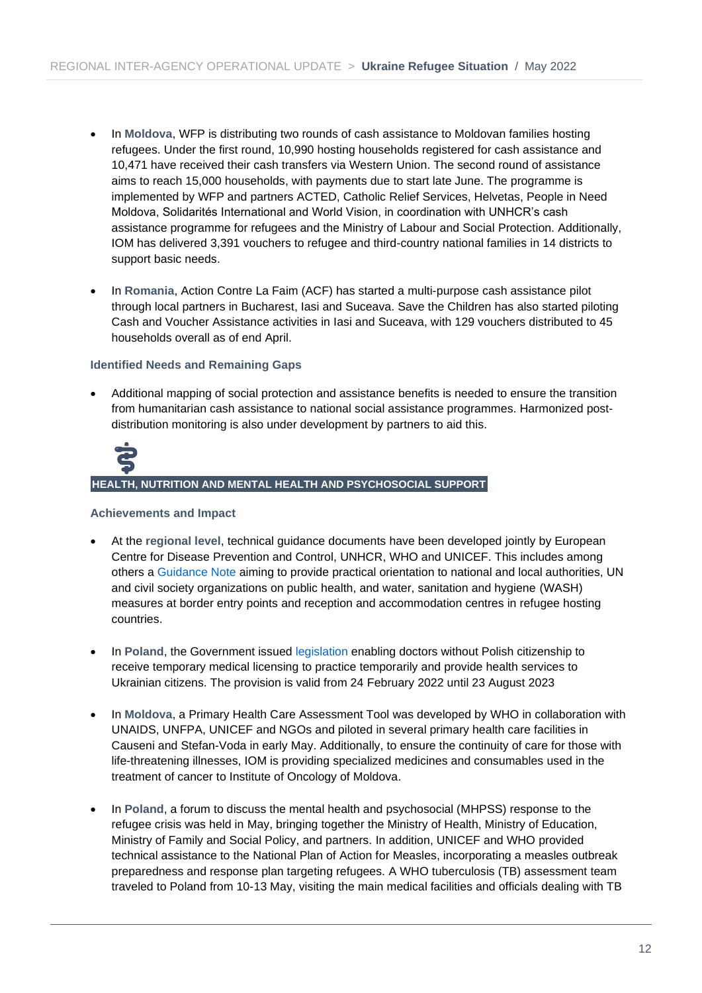- In **Moldova**, WFP is distributing two rounds of cash assistance to Moldovan families hosting refugees. Under the first round, 10,990 hosting households registered for cash assistance and 10,471 have received their cash transfers via Western Union. The second round of assistance aims to reach 15,000 households, with payments due to start late June. The programme is implemented by WFP and partners ACTED, Catholic Relief Services, Helvetas, People in Need Moldova, Solidarités International and World Vision, in coordination with UNHCR's cash assistance programme for refugees and the Ministry of Labour and Social Protection. Additionally, IOM has delivered 3,391 vouchers to refugee and third-country national families in 14 districts to support basic needs.
- In **Romania**, Action Contre La Faim (ACF) has started a multi-purpose cash assistance pilot through local partners in Bucharest, Iasi and Suceava. Save the Children has also started piloting Cash and Voucher Assistance activities in Iasi and Suceava, with 129 vouchers distributed to 45 households overall as of end April.

#### **Identified Needs and Remaining Gaps**

• Additional mapping of social protection and assistance benefits is needed to ensure the transition from humanitarian cash assistance to national social assistance programmes. Harmonized postdistribution monitoring is also under development by partners to aid this.



#### **HEALTH, NUTRITION AND MENTAL HEALTH AND PSYCHOSOCIAL SUPPORT**

- At the **regional level**, technical guidance documents have been developed jointly by [European](https://www.bing.com/ck/a?!&&p=82ad9c395cc4242b8254217274f1b3df0f36eeb12b5b442024a3227bb6e8f08eJmltdHM9MTY1NDI2MDQ3MiZpZ3VpZD0wNDI3ZThhOC0yYzYxLTRiNjktOTg5OC02NjY3YjczNmU2MTEmaW5zaWQ9NTE0Ng&ptn=3&fclid=613a5591-e33b-11ec-91fb-4bb87605d58e&u=a1aHR0cHM6Ly93d3cuZWNkYy5ldXJvcGEuZXUvZW4&ntb=1)  [Centre for Disease Prevention and Control,](https://www.bing.com/ck/a?!&&p=82ad9c395cc4242b8254217274f1b3df0f36eeb12b5b442024a3227bb6e8f08eJmltdHM9MTY1NDI2MDQ3MiZpZ3VpZD0wNDI3ZThhOC0yYzYxLTRiNjktOTg5OC02NjY3YjczNmU2MTEmaW5zaWQ9NTE0Ng&ptn=3&fclid=613a5591-e33b-11ec-91fb-4bb87605d58e&u=a1aHR0cHM6Ly93d3cuZWNkYy5ldXJvcGEuZXUvZW4&ntb=1) UNHCR, WHO and UNICEF. This includes among others a [Guidance Note](https://data.unhcr.org/en/documents/details/93282) aiming to provide practical orientation to national and local authorities, UN and civil society organizations on public health, and water, sanitation and hygiene (WASH) measures at border entry points and reception and accommodation centres in refugee hosting countries.
- In **Poland**, the Government issued [legislation](https://www.monitorpolski.gov.pl/DU/rok/2022/pozycja/830) enabling doctors without Polish citizenship to receive temporary medical licensing to practice temporarily and provide health services to Ukrainian citizens. The provision is valid from 24 February 2022 until 23 August 2023
- In **Moldova**, a Primary Health Care Assessment Tool was developed by WHO in collaboration with UNAIDS, UNFPA, UNICEF and NGOs and piloted in several primary health care facilities in Causeni and Stefan-Voda in early May. Additionally, to ensure the continuity of care for those with life-threatening illnesses, IOM is providing specialized medicines and consumables used in the treatment of cancer to Institute of Oncology of Moldova.
- In **Poland**, a forum to discuss the mental health and psychosocial (MHPSS) response to the refugee crisis was held in May, bringing together the Ministry of Health, Ministry of Education, Ministry of Family and Social Policy, and partners. In addition, UNICEF and WHO provided technical assistance to the National Plan of Action for Measles, incorporating a measles outbreak preparedness and response plan targeting refugees. A WHO tuberculosis (TB) assessment team traveled to Poland from 10-13 May, visiting the main medical facilities and officials dealing with TB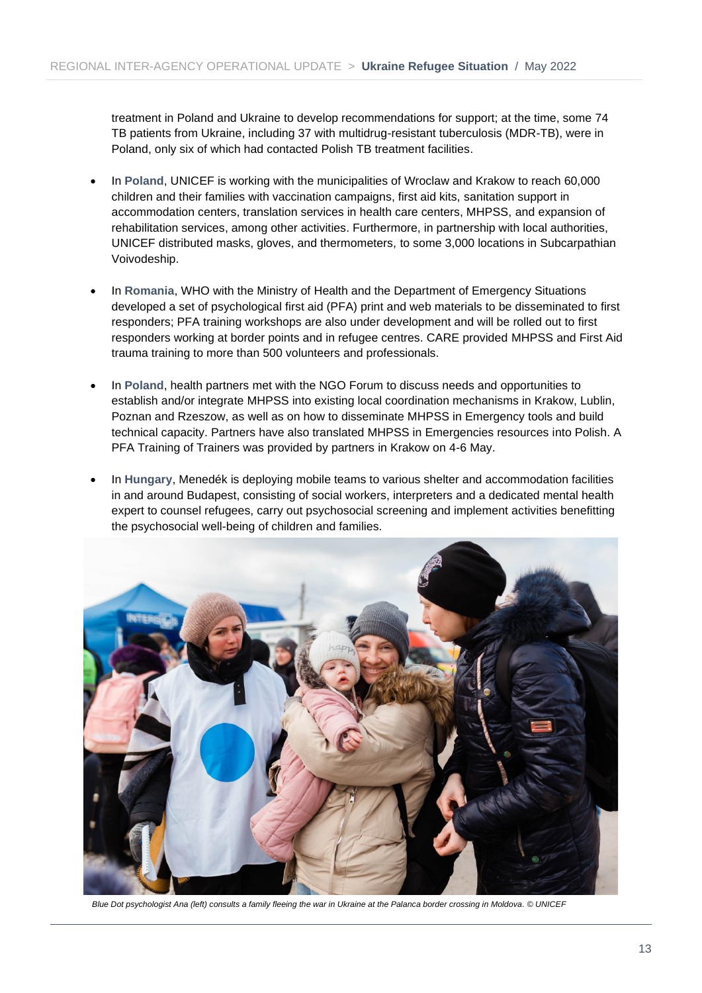treatment in Poland and Ukraine to develop recommendations for support; at the time, some 74 TB patients from Ukraine, including 37 with multidrug-resistant tuberculosis (MDR-TB), were in Poland, only six of which had contacted Polish TB treatment facilities.

- In **Poland**, UNICEF is working with the municipalities of Wroclaw and Krakow to reach 60,000 children and their families with vaccination campaigns, first aid kits, sanitation support in accommodation centers, translation services in health care centers, MHPSS, and expansion of rehabilitation services, among other activities. Furthermore, in partnership with local authorities, UNICEF distributed masks, gloves, and thermometers, to some 3,000 locations in Subcarpathian Voivodeship.
- In **Romania**, WHO with the Ministry of Health and the Department of Emergency Situations developed a set of psychological first aid (PFA) print and web materials to be disseminated to first responders; PFA training workshops are also under development and will be rolled out to first responders working at border points and in refugee centres. CARE provided MHPSS and First Aid trauma training to more than 500 volunteers and professionals.
- In **Poland**, health partners met with the NGO Forum to discuss needs and opportunities to establish and/or integrate MHPSS into existing local coordination mechanisms in Krakow, Lublin, Poznan and Rzeszow, as well as on how to disseminate MHPSS in Emergency tools and build technical capacity. Partners have also translated MHPSS in Emergencies resources into Polish. A PFA Training of Trainers was provided by partners in Krakow on 4-6 May.
- In **Hungary**, Menedék is deploying mobile teams to various shelter and accommodation facilities in and around Budapest, consisting of social workers, interpreters and a dedicated mental health expert to counsel refugees, carry out psychosocial screening and implement activities benefitting the psychosocial well-being of children and families.



*Blue Dot psychologist Ana (left) consults a family fleeing the war in Ukraine at the Palanca border crossing in Moldova. © UNICEF*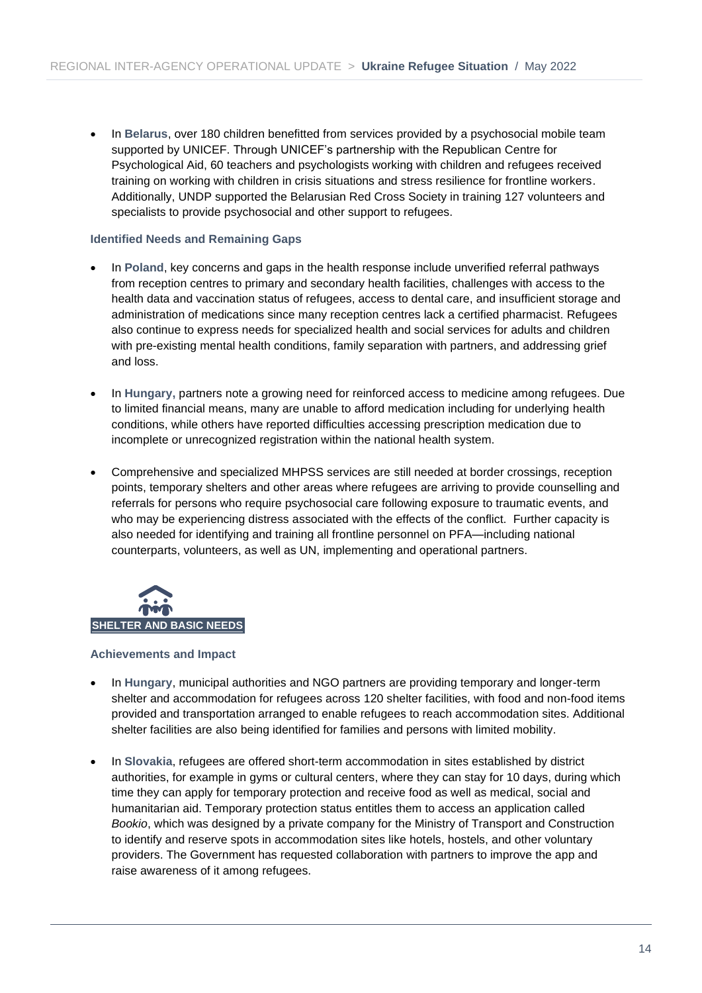• In **Belarus**, over 180 children benefitted from services provided by a psychosocial mobile team supported by UNICEF. Through UNICEF's partnership with the Republican Centre for Psychological Aid, 60 teachers and psychologists working with children and refugees received training on working with children in crisis situations and stress resilience for frontline workers. Additionally, UNDP supported the Belarusian Red Cross Society in training 127 volunteers and specialists to provide psychosocial and other support to refugees.

#### **Identified Needs and Remaining Gaps**

- In **Poland**, key concerns and gaps in the health response include unverified referral pathways from reception centres to primary and secondary health facilities, challenges with access to the health data and vaccination status of refugees, access to dental care, and insufficient storage and administration of medications since many reception centres lack a certified pharmacist. Refugees also continue to express needs for specialized health and social services for adults and children with pre-existing mental health conditions, family separation with partners, and addressing grief and loss.
- In **Hungary,** partners note a growing need for reinforced access to medicine among refugees. Due to limited financial means, many are unable to afford medication including for underlying health conditions, while others have reported difficulties accessing prescription medication due to incomplete or unrecognized registration within the national health system.
- Comprehensive and specialized MHPSS services are still needed at border crossings, reception points, temporary shelters and other areas where refugees are arriving to provide counselling and referrals for persons who require psychosocial care following exposure to traumatic events, and who may be experiencing distress associated with the effects of the conflict. Further capacity is also needed for identifying and training all frontline personnel on PFA—including national counterparts, volunteers, as well as UN, implementing and operational partners.



- In **Hungary**, municipal authorities and NGO partners are providing temporary and longer-term shelter and accommodation for refugees across 120 shelter facilities, with food and non-food items provided and transportation arranged to enable refugees to reach accommodation sites. Additional shelter facilities are also being identified for families and persons with limited mobility.
- In **Slovakia**, refugees are offered short-term accommodation in sites established by district authorities, for example in gyms or cultural centers, where they can stay for 10 days, during which time they can apply for temporary protection and receive food as well as medical, social and humanitarian aid. Temporary protection status entitles them to access an application called *Bookio*, which was designed by a private company for the Ministry of Transport and Construction to identify and reserve spots in accommodation sites like hotels, hostels, and other voluntary providers. The Government has requested collaboration with partners to improve the app and raise awareness of it among refugees.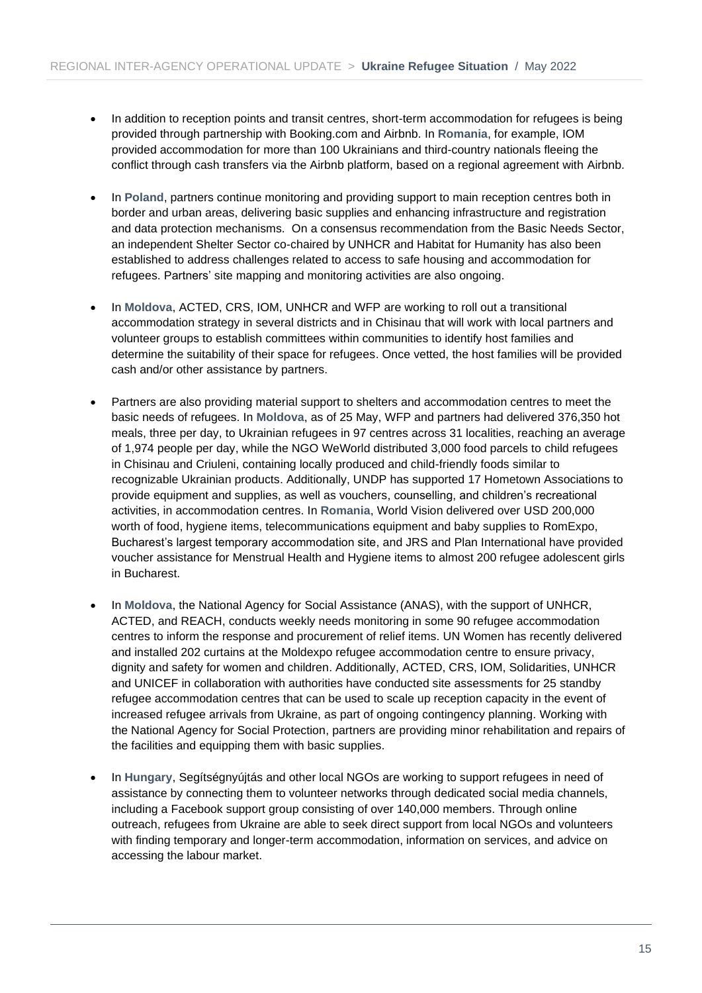- In addition to reception points and transit centres, short-term accommodation for refugees is being provided through partnership with Booking.com and Airbnb. In **Romania**, for example, IOM provided accommodation for more than 100 Ukrainians and third-country nationals fleeing the conflict through cash transfers via the Airbnb platform, based on a regional agreement with Airbnb.
- In **Poland**, partners continue monitoring and providing support to main reception centres both in border and urban areas, delivering basic supplies and enhancing infrastructure and registration and data protection mechanisms. On a consensus recommendation from the Basic Needs Sector, an independent Shelter Sector co-chaired by UNHCR and Habitat for Humanity has also been established to address challenges related to access to safe housing and accommodation for refugees. Partners' site mapping and monitoring activities are also ongoing.
- In **Moldova**, ACTED, CRS, IOM, UNHCR and WFP are working to roll out a transitional accommodation strategy in several districts and in Chisinau that will work with local partners and volunteer groups to establish committees within communities to identify host families and determine the suitability of their space for refugees. Once vetted, the host families will be provided cash and/or other assistance by partners.
- Partners are also providing material support to shelters and accommodation centres to meet the basic needs of refugees. In **Moldova**, as of 25 May, WFP and partners had delivered 376,350 hot meals, three per day, to Ukrainian refugees in 97 centres across 31 localities, reaching an average of 1,974 people per day, while the NGO WeWorld distributed 3,000 food parcels to child refugees in Chisinau and Criuleni, containing locally produced and child-friendly foods similar to recognizable Ukrainian products. Additionally, UNDP has supported 17 Hometown Associations to provide equipment and supplies, as well as vouchers, counselling, and children's recreational activities, in accommodation centres. In **Romania**, World Vision delivered over USD 200,000 worth of food, hygiene items, telecommunications equipment and baby supplies to RomExpo, Bucharest's largest temporary accommodation site, and JRS and Plan International have provided voucher assistance for Menstrual Health and Hygiene items to almost 200 refugee adolescent girls in Bucharest.
- In **Moldova**, the National Agency for Social Assistance (ANAS), with the support of UNHCR, ACTED, and REACH, conducts weekly needs monitoring in some 90 refugee accommodation centres to inform the response and procurement of relief items. UN Women has recently delivered and installed 202 curtains at the Moldexpo refugee accommodation centre to ensure privacy, dignity and safety for women and children. Additionally, ACTED, CRS, IOM, Solidarities, UNHCR and UNICEF in collaboration with authorities have conducted site assessments for 25 standby refugee accommodation centres that can be used to scale up reception capacity in the event of increased refugee arrivals from Ukraine, as part of ongoing contingency planning. Working with the National Agency for Social Protection, partners are providing minor rehabilitation and repairs of the facilities and equipping them with basic supplies.
- In **Hungary**, Segítségnyújtás and other local NGOs are working to support refugees in need of assistance by connecting them to volunteer networks through dedicated social media channels, including a Facebook support group consisting of over 140,000 members. Through online outreach, refugees from Ukraine are able to seek direct support from local NGOs and volunteers with finding temporary and longer-term accommodation, information on services, and advice on accessing the labour market.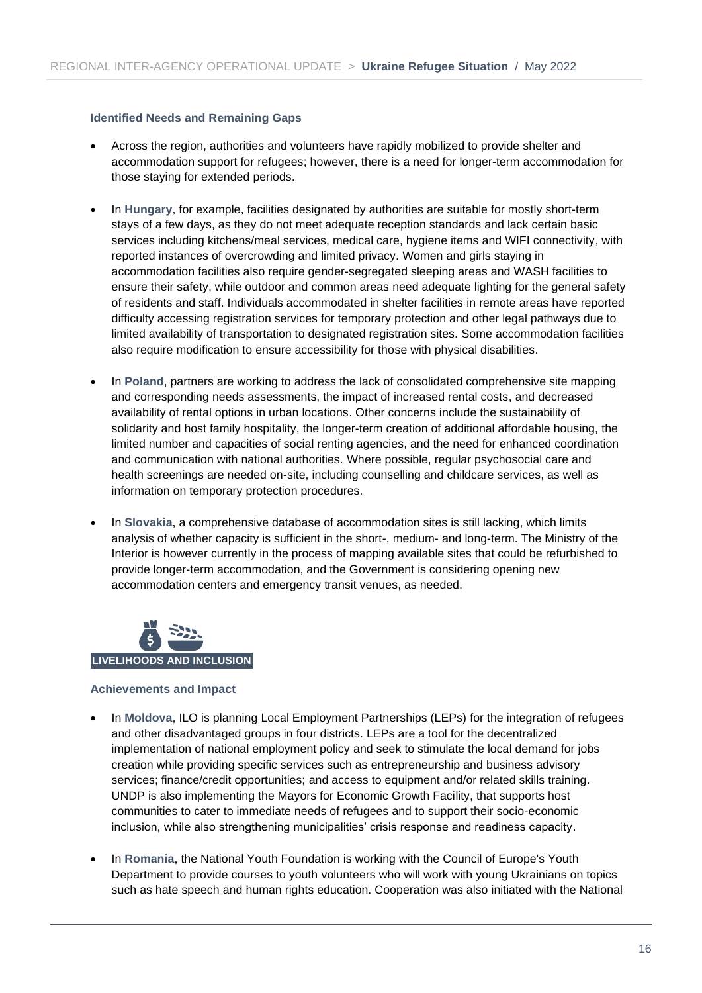#### **Identified Needs and Remaining Gaps**

- Across the region, authorities and volunteers have rapidly mobilized to provide shelter and accommodation support for refugees; however, there is a need for longer-term accommodation for those staying for extended periods.
- In **Hungary**, for example, facilities designated by authorities are suitable for mostly short-term stays of a few days, as they do not meet adequate reception standards and lack certain basic services including kitchens/meal services, medical care, hygiene items and WIFI connectivity, with reported instances of overcrowding and limited privacy. Women and girls staying in accommodation facilities also require gender-segregated sleeping areas and WASH facilities to ensure their safety, while outdoor and common areas need adequate lighting for the general safety of residents and staff. Individuals accommodated in shelter facilities in remote areas have reported difficulty accessing registration services for temporary protection and other legal pathways due to limited availability of transportation to designated registration sites. Some accommodation facilities also require modification to ensure accessibility for those with physical disabilities.
- In **Poland**, partners are working to address the lack of consolidated comprehensive site mapping and corresponding needs assessments, the impact of increased rental costs, and decreased availability of rental options in urban locations. Other concerns include the sustainability of solidarity and host family hospitality, the longer-term creation of additional affordable housing, the limited number and capacities of social renting agencies, and the need for enhanced coordination and communication with national authorities. Where possible, regular psychosocial care and health screenings are needed on-site, including counselling and childcare services, as well as information on temporary protection procedures.
- In **Slovakia**, a comprehensive database of accommodation sites is still lacking, which limits analysis of whether capacity is sufficient in the short-, medium- and long-term. The Ministry of the Interior is however currently in the process of mapping available sites that could be refurbished to provide longer-term accommodation, and the Government is considering opening new accommodation centers and emergency transit venues, as needed.



- In **Moldova**, ILO is planning Local Employment Partnerships (LEPs) for the integration of refugees and other disadvantaged groups in four districts. LEPs are a tool for the decentralized implementation of national employment policy and seek to stimulate the local demand for jobs creation while providing specific services such as entrepreneurship and business advisory services; finance/credit opportunities; and access to equipment and/or related skills training. UNDP is also implementing the Mayors for Economic Growth Facility, that supports host communities to cater to immediate needs of refugees and to support their socio-economic inclusion, while also strengthening municipalities' crisis response and readiness capacity.
- In **Romania**, the National Youth Foundation is working with the Council of Europe's Youth Department to provide courses to youth volunteers who will work with young Ukrainians on topics such as hate speech and human rights education. Cooperation was also initiated with the National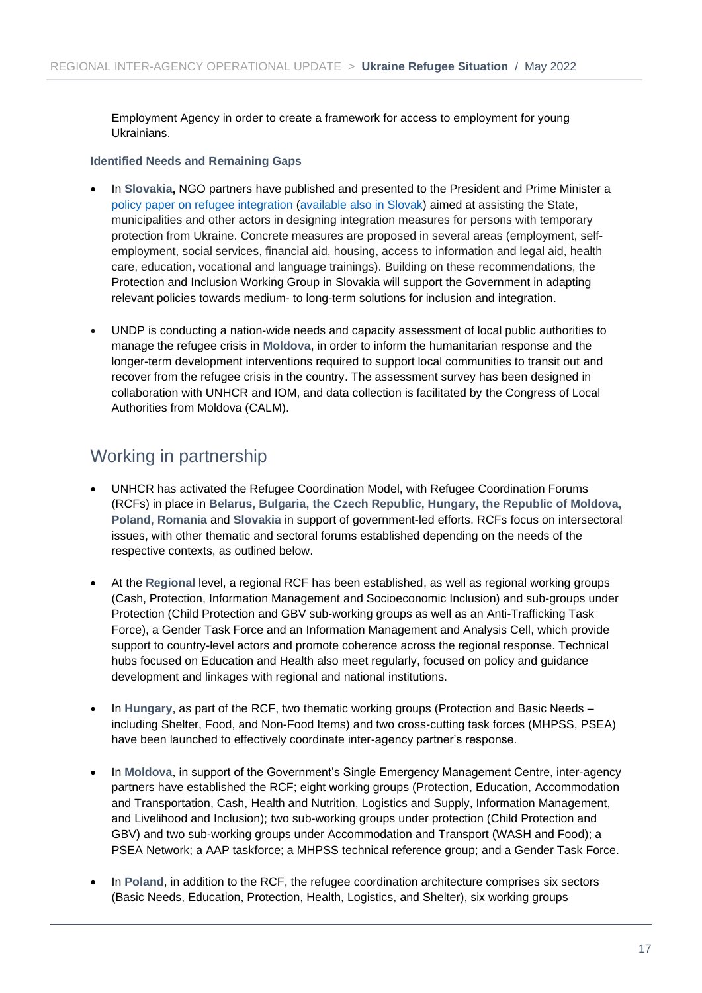Employment Agency in order to create a framework for access to employment for young Ukrainians.

#### **Identified Needs and Remaining Gaps**

- In **Slovakia,** NGO partners have published and presented to the President and Prime Minister a [policy paper on refugee integration](https://mareena.sk/assets/files/Integration-of-people-from-Ukraine_Recommendations.pdf) [\(available also](https://mareena.sk/assets/files/Integracia-ludi-z-Ukrajiny_Navrhy-ries%CC%8Ceni%CC%81.pdf) in Slovak) aimed at assisting the State, municipalities and other actors in designing integration measures for persons with temporary protection from Ukraine. Concrete measures are proposed in several areas (employment, selfemployment, social services, financial aid, housing, access to information and legal aid, health care, education, vocational and language trainings). Building on these recommendations, the Protection and Inclusion Working Group in Slovakia will support the Government in adapting relevant policies towards medium- to long-term solutions for inclusion and integration.
- UNDP is conducting a nation-wide needs and capacity assessment of local public authorities to manage the refugee crisis in **Moldova**, in order to inform the humanitarian response and the longer-term development interventions required to support local communities to transit out and recover from the refugee crisis in the country. The assessment survey has been designed in collaboration with UNHCR and IOM, and data collection is facilitated by the Congress of Local Authorities from Moldova (CALM).

## Working in partnership

- UNHCR has activated the Refugee Coordination Model, with Refugee Coordination Forums (RCFs) in place in **Belarus, Bulgaria, the Czech Republic, Hungary, the Republic of Moldova, Poland, Romania** and **Slovakia** in support of government-led efforts. RCFs focus on intersectoral issues, with other thematic and sectoral forums established depending on the needs of the respective contexts, as outlined below.
- At the **Regional** level, a regional RCF has been established, as well as regional working groups (Cash, Protection, Information Management and Socioeconomic Inclusion) and sub-groups under Protection (Child Protection and GBV sub-working groups as well as an Anti-Trafficking Task Force), a Gender Task Force and an Information Management and Analysis Cell, which provide support to country-level actors and promote coherence across the regional response. Technical hubs focused on Education and Health also meet regularly, focused on policy and guidance development and linkages with regional and national institutions.
- In **Hungary**, as part of the RCF, two thematic working groups (Protection and Basic Needs including Shelter, Food, and Non-Food Items) and two cross-cutting task forces (MHPSS, PSEA) have been launched to effectively coordinate inter-agency partner's response.
- In **Moldova**, in support of the Government's Single Emergency Management Centre, inter-agency partners have established the RCF; eight working groups (Protection, Education, Accommodation and Transportation, Cash, Health and Nutrition, Logistics and Supply, Information Management, and Livelihood and Inclusion); two sub-working groups under protection (Child Protection and GBV) and two sub-working groups under Accommodation and Transport (WASH and Food); a PSEA Network; a AAP taskforce; a MHPSS technical reference group; and a Gender Task Force.
- In **Poland**, in addition to the RCF, the refugee coordination architecture comprises six sectors (Basic Needs, Education, Protection, Health, Logistics, and Shelter), six working groups